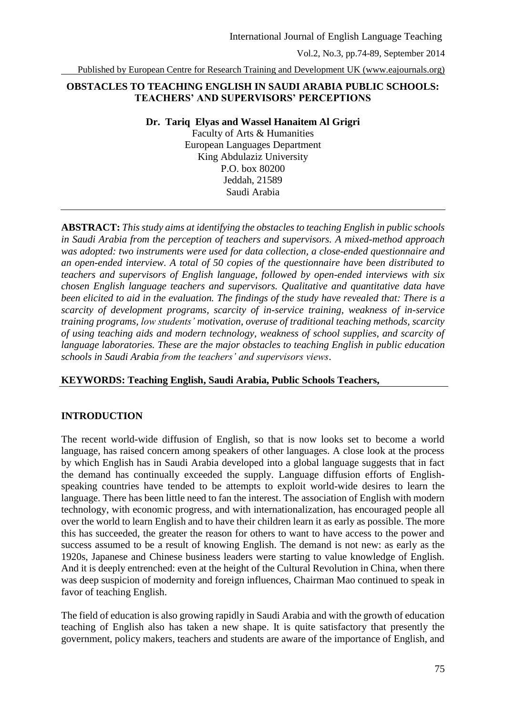Published by European Centre for Research Training and Development UK (www.eajournals.org)

### **OBSTACLES TO TEACHING ENGLISH IN SAUDI ARABIA PUBLIC SCHOOLS: TEACHERS' AND SUPERVISORS' PERCEPTIONS**

**Dr. Tariq Elyas and Wassel Hanaitem Al Grigri**

Faculty of Arts & Humanities European Languages Department King Abdulaziz University P.O. box 80200 Jeddah, 21589 Saudi Arabia

**ABSTRACT:** *This study aims at identifying the obstacles to teaching English in public schools in Saudi Arabia from the perception of teachers and supervisors. A mixed-method approach was adopted: two instruments were used for data collection, a close-ended questionnaire and an open-ended interview. A total of 50 copies of the questionnaire have been distributed to teachers and supervisors of English language, followed by open-ended interviews with six chosen English language teachers and supervisors. Qualitative and quantitative data have been elicited to aid in the evaluation. The findings of the study have revealed that: There is a scarcity of development programs, scarcity of in-service training, weakness of in-service training programs, low students' motivation, overuse of traditional teaching methods, scarcity of using teaching aids and modern technology, weakness of school supplies, and scarcity of language laboratories. These are the major obstacles to teaching English in public education schools in Saudi Arabia from the teachers' and supervisors views*.

#### **KEYWORDS: Teaching English, Saudi Arabia, Public Schools Teachers,**

#### **INTRODUCTION**

The recent world-wide diffusion of English, so that is now looks set to become a world language, has raised concern among speakers of other languages. A close look at the process by which English has in Saudi Arabia developed into a global language suggests that in fact the demand has continually exceeded the supply. Language diffusion efforts of Englishspeaking countries have tended to be attempts to exploit world-wide desires to learn the language. There has been little need to fan the interest. The association of English with modern technology, with economic progress, and with internationalization, has encouraged people all over the world to learn English and to have their children learn it as early as possible. The more this has succeeded, the greater the reason for others to want to have access to the power and success assumed to be a result of knowing English. The demand is not new: as early as the 1920s, Japanese and Chinese business leaders were starting to value knowledge of English. And it is deeply entrenched: even at the height of the Cultural Revolution in China, when there was deep suspicion of modernity and foreign influences, Chairman Mao continued to speak in favor of teaching English.

The field of education is also growing rapidly in Saudi Arabia and with the growth of education teaching of English also has taken a new shape. It is quite satisfactory that presently the government, policy makers, teachers and students are aware of the importance of English, and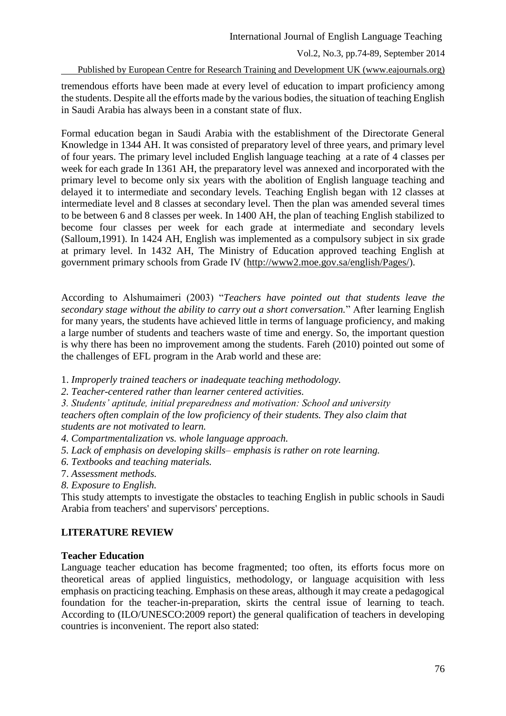Published by European Centre for Research Training and Development UK (www.eajournals.org)

tremendous efforts have been made at every level of education to impart proficiency among the students. Despite all the efforts made by the various bodies, the situation of teaching English in Saudi Arabia has always been in a constant state of flux.

Formal education began in Saudi Arabia with the establishment of the Directorate General Knowledge in 1344 AH. It was consisted of preparatory level of three years, and primary level of four years. The primary level included English language teaching at a rate of 4 classes per week for each grade In 1361 AH, the preparatory level was annexed and incorporated with the primary level to become only six years with the abolition of English language teaching and delayed it to intermediate and secondary levels. Teaching English began with 12 classes at intermediate level and 8 classes at secondary level. Then the plan was amended several times to be between 6 and 8 classes per week. In 1400 AH, the plan of teaching English stabilized to become four classes per week for each grade at intermediate and secondary levels (Salloum,1991). In 1424 AH, English was implemented as a compulsory subject in six grade at primary level. In 1432 AH, The Ministry of Education approved teaching English at government primary schools from Grade IV [\(http://www2.moe.gov.sa/english/Pages/\)](http://www2.moe.gov.sa/english/Pages/).

According to Alshumaimeri (2003) "*Teachers have pointed out that students leave the secondary stage without the ability to carry out a short conversation.*" After learning English for many years, the students have achieved little in terms of language proficiency, and making a large number of students and teachers waste of time and energy. So, the important question is why there has been no improvement among the students. Fareh (2010) pointed out some of the challenges of EFL program in the Arab world and these are:

- 1. *Improperly trained teachers or inadequate teaching methodology.*
- *2. Teacher-centered rather than learner centered activities.*
- *3. Students' aptitude, initial preparedness and motivation: School and university*

*teachers often complain of the low proficiency of their students. They also claim that students are not motivated to learn.*

- *4. Compartmentalization vs. whole language approach.*
- *5. Lack of emphasis on developing skills– emphasis is rather on rote learning.*
- *6. Textbooks and teaching materials.*
- 7. *Assessment methods.*
- *8. Exposure to English.*

This study attempts to investigate the obstacles to teaching English in public schools in Saudi Arabia from teachers' and supervisors' perceptions.

## **LITERATURE REVIEW**

#### **Teacher Education**

Language teacher education has become fragmented; too often, its efforts focus more on theoretical areas of applied linguistics, methodology, or language acquisition with less emphasis on practicing teaching. Emphasis on these areas, although it may create a pedagogical foundation for the teacher-in-preparation, skirts the central issue of learning to teach. According to (ILO/UNESCO:2009 report) the general qualification of teachers in developing countries is inconvenient. The report also stated: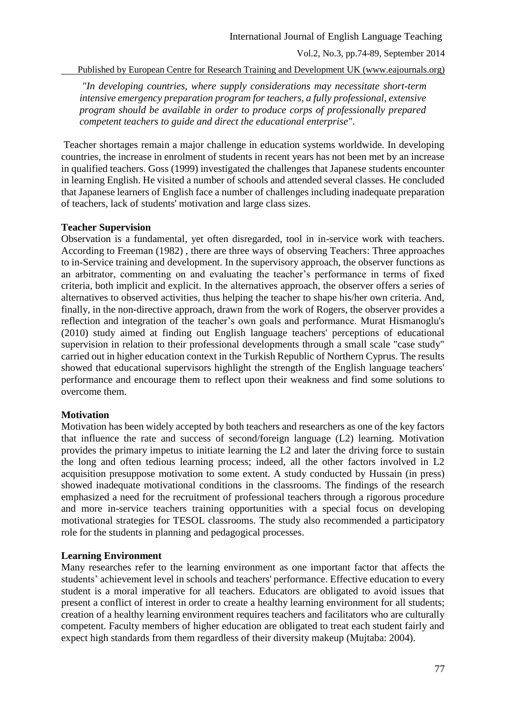Published by European Centre for Research Training and Development UK (www.eajournals.org)

*"In developing countries, where supply considerations may necessitate short-term intensive emergency preparation program for teachers, a fully professional, extensive program should be available in order to produce corps of professionally prepared competent teachers to guide and direct the educational enterprise"*.

Teacher shortages remain a major challenge in education systems worldwide. In developing countries, the increase in enrolment of students in recent years has not been met by an increase in qualified teachers. Goss (1999) investigated the challenges that Japanese students encounter in learning English. He visited a number of schools and attended several classes. He concluded that Japanese learners of English face a number of challenges including inadequate preparation of teachers, lack of students' motivation and large class sizes.

#### **Teacher Supervision**

Observation is a fundamental, yet often disregarded, tool in in-service work with teachers. According to Freeman (1982) , there are three ways of observing Teachers: Three approaches to in-Service training and development. In the supervisory approach, the observer functions as an arbitrator, commenting on and evaluating the teacher's performance in terms of fixed criteria, both implicit and explicit. In the alternatives approach, the observer offers a series of alternatives to observed activities, thus helping the teacher to shape his/her own criteria. And, finally, in the non-directive approach, drawn from the work of Rogers, the observer provides a reflection and integration of the teacher's own goals and performance. Murat Hismanoglu's (2010) study aimed at finding out English language teachers' perceptions of educational supervision in relation to their professional developments through a small scale "case study" carried out in higher education context in the Turkish Republic of Northern Cyprus. The results showed that educational supervisors highlight the strength of the English language teachers' performance and encourage them to reflect upon their weakness and find some solutions to overcome them.

#### **Motivation**

Motivation has been widely accepted by both teachers and researchers as one of the key factors that influence the rate and success of second/foreign language (L2) learning. Motivation provides the primary impetus to initiate learning the L2 and later the driving force to sustain the long and often tedious learning process; indeed, all the other factors involved in L2 acquisition presuppose motivation to some extent. A study conducted by Hussain (in press) showed inadequate motivational conditions in the classrooms. The findings of the research emphasized a need for the recruitment of professional teachers through a rigorous procedure and more in-service teachers training opportunities with a special focus on developing motivational strategies for TESOL classrooms. The study also recommended a participatory role for the students in planning and pedagogical processes.

#### **Learning Environment**

Many researches refer to the learning environment as one important factor that affects the students' achievement level in schools and teachers' performance. Effective education to every student is a moral imperative for all teachers. Educators are obligated to avoid issues that present a conflict of interest in order to create a healthy learning environment for all students; creation of a healthy learning environment requires teachers and facilitators who are culturally competent. Faculty members of higher education are obligated to treat each student fairly and expect high standards from them regardless of their diversity makeup (Mujtaba: 2004).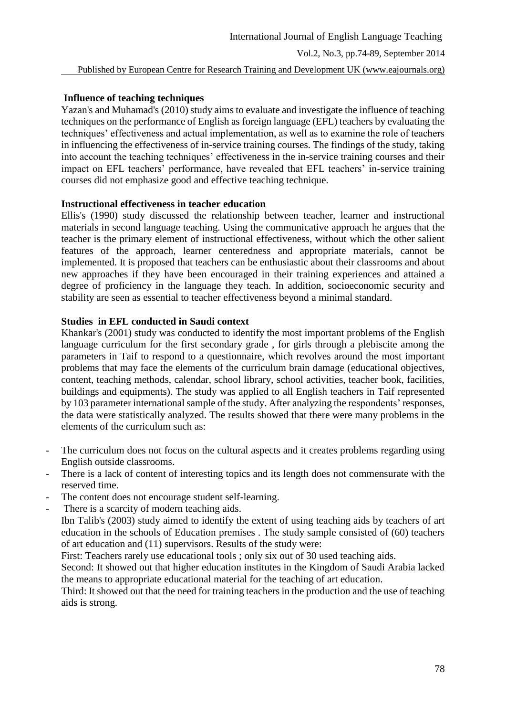# **Influence of teaching techniques**

Yazan's and Muhamad's (2010) study aims to evaluate and investigate the influence of teaching techniques on the performance of English as foreign language (EFL) teachers by evaluating the techniques' effectiveness and actual implementation, as well as to examine the role of teachers in influencing the effectiveness of in-service training courses. The findings of the study, taking into account the teaching techniques' effectiveness in the in-service training courses and their impact on EFL teachers' performance, have revealed that EFL teachers' in-service training courses did not emphasize good and effective teaching technique.

# **Instructional effectiveness in teacher education**

Ellis's (1990) study discussed the relationship between teacher, learner and instructional materials in second language teaching. Using the communicative approach he argues that the teacher is the primary element of instructional effectiveness, without which the other salient features of the approach, learner centeredness and appropriate materials, cannot be implemented. It is proposed that teachers can be enthusiastic about their classrooms and about new approaches if they have been encouraged in their training experiences and attained a degree of proficiency in the language they teach. In addition, socioeconomic security and stability are seen as essential to teacher effectiveness beyond a minimal standard.

# **Studies in EFL conducted in Saudi context**

Khankar's (2001) study was conducted to identify the most important problems of the English language curriculum for the first secondary grade , for girls through a plebiscite among the parameters in Taif to respond to a questionnaire, which revolves around the most important problems that may face the elements of the curriculum brain damage (educational objectives, content, teaching methods, calendar, school library, school activities, teacher book, facilities, buildings and equipments). The study was applied to all English teachers in Taif represented by 103 parameter international sample of the study. After analyzing the respondents' responses, the data were statistically analyzed. The results showed that there were many problems in the elements of the curriculum such as:

- The curriculum does not focus on the cultural aspects and it creates problems regarding using English outside classrooms.
- There is a lack of content of interesting topics and its length does not commensurate with the reserved time.
- The content does not encourage student self-learning.
- There is a scarcity of modern teaching aids.

Ibn Talib's (2003) study aimed to identify the extent of using teaching aids by teachers of art education in the schools of Education premises . The study sample consisted of (60) teachers of art education and (11) supervisors. Results of the study were:

First: Teachers rarely use educational tools ; only six out of 30 used teaching aids.

Second: It showed out that higher education institutes in the Kingdom of Saudi Arabia lacked the means to appropriate educational material for the teaching of art education.

Third: It showed out that the need for training teachers in the production and the use of teaching aids is strong.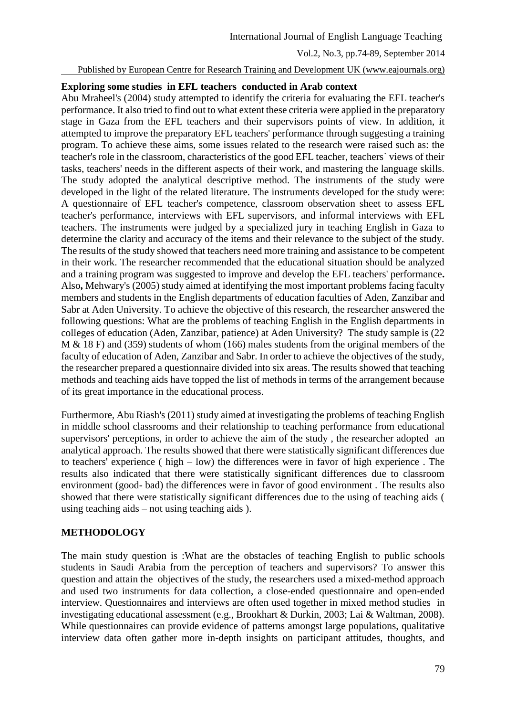Published by European Centre for Research Training and Development UK (www.eajournals.org)

#### **Exploring some studies in EFL teachers conducted in Arab context**

Abu Mraheel's (2004) study attempted to identify the criteria for evaluating the EFL teacher's performance. It also tried to find out to what extent these criteria were applied in the preparatory stage in Gaza from the EFL teachers and their supervisors points of view. In addition, it attempted to improve the preparatory EFL teachers' performance through suggesting a training program. To achieve these aims, some issues related to the research were raised such as: the teacher's role in the classroom, characteristics of the good EFL teacher, teachers` views of their tasks, teachers' needs in the different aspects of their work, and mastering the language skills. The study adopted the analytical descriptive method. The instruments of the study were developed in the light of the related literature. The instruments developed for the study were: A questionnaire of EFL teacher's competence, classroom observation sheet to assess EFL teacher's performance, interviews with EFL supervisors, and informal interviews with EFL teachers. The instruments were judged by a specialized jury in teaching English in Gaza to determine the clarity and accuracy of the items and their relevance to the subject of the study. The results of the study showed that teachers need more training and assistance to be competent in their work. The researcher recommended that the educational situation should be analyzed and a training program was suggested to improve and develop the EFL teachers' performance**.** Also**,** Mehwary's (2005) study aimed at identifying the most important problems facing faculty members and students in the English departments of education faculties of Aden, Zanzibar and Sabr at Aden University. To achieve the objective of this research, the researcher answered the following questions: What are the problems of teaching English in the English departments in colleges of education (Aden, Zanzibar, patience) at Aden University? The study sample is (22 M & 18 F) and (359) students of whom (166) males students from the original members of the faculty of education of Aden, Zanzibar and Sabr. In order to achieve the objectives of the study, the researcher prepared a questionnaire divided into six areas. The results showed that teaching methods and teaching aids have topped the list of methods in terms of the arrangement because of its great importance in the educational process.

Furthermore, Abu Riash's (2011) study aimed at investigating the problems of teaching English in middle school classrooms and their relationship to teaching performance from educational supervisors' perceptions, in order to achieve the aim of the study , the researcher adopted an analytical approach. The results showed that there were statistically significant differences due to teachers' experience ( high – low) the differences were in favor of high experience . The results also indicated that there were statistically significant differences due to classroom environment (good- bad) the differences were in favor of good environment . The results also showed that there were statistically significant differences due to the using of teaching aids ( using teaching aids – not using teaching aids ).

#### **METHODOLOGY**

The main study question is :What are the obstacles of teaching English to public schools students in Saudi Arabia from the perception of teachers and supervisors? To answer this question and attain the objectives of the study, the researchers used a mixed-method approach and used two instruments for data collection, a close-ended questionnaire and open-ended interview. Questionnaires and interviews are often used together in mixed method studies in investigating educational assessment (e.g., Brookhart & Durkin, 2003; Lai & Waltman, 2008). While questionnaires can provide evidence of patterns amongst large populations, qualitative interview data often gather more in-depth insights on participant attitudes, thoughts, and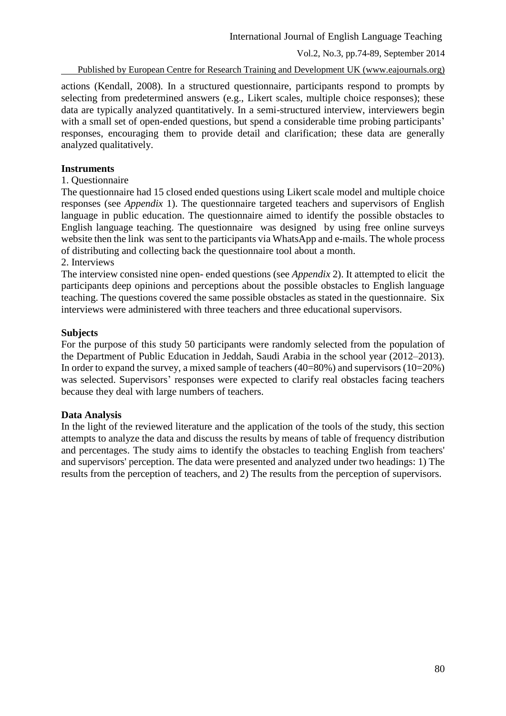Published by European Centre for Research Training and Development UK (www.eajournals.org)

actions (Kendall, 2008). In a structured questionnaire, participants respond to prompts by selecting from predetermined answers (e.g., Likert scales, multiple choice responses); these data are typically analyzed quantitatively. In a semi-structured interview, interviewers begin with a small set of open-ended questions, but spend a considerable time probing participants' responses, encouraging them to provide detail and clarification; these data are generally analyzed qualitatively.

### **Instruments**

1. Questionnaire

The questionnaire had 15 closed ended questions using Likert scale model and multiple choice responses (see *Appendix* 1). The questionnaire targeted teachers and supervisors of English language in public education. The questionnaire aimed to identify the possible obstacles to English language teaching. The questionnaire was designed by using free online surveys website then the link was sent to the participants via WhatsApp and e-mails. The whole process of distributing and collecting back the questionnaire tool about a month.

#### 2. Interviews

The interview consisted nine open- ended questions (see *Appendix* 2). It attempted to elicit the participants deep opinions and perceptions about the possible obstacles to English language teaching. The questions covered the same possible obstacles as stated in the questionnaire. Six interviews were administered with three teachers and three educational supervisors.

#### **Subjects**

For the purpose of this study 50 participants were randomly selected from the population of the Department of Public Education in Jeddah, Saudi Arabia in the school year (2012–2013). In order to expand the survey, a mixed sample of teachers  $(40=80\%)$  and supervisors  $(10=20\%)$ was selected. Supervisors' responses were expected to clarify real obstacles facing teachers because they deal with large numbers of teachers.

#### **Data Analysis**

In the light of the reviewed literature and the application of the tools of the study, this section attempts to analyze the data and discuss the results by means of table of frequency distribution and percentages. The study aims to identify the obstacles to teaching English from teachers' and supervisors' perception. The data were presented and analyzed under two headings: 1) The results from the perception of teachers, and 2) The results from the perception of supervisors.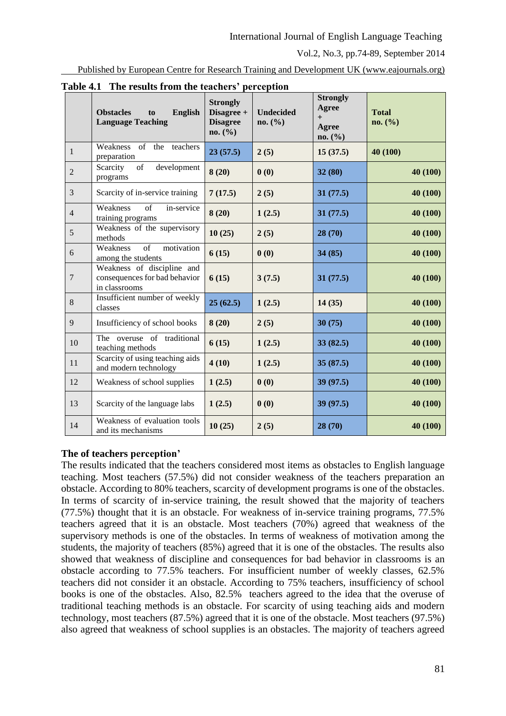Published by European Centre for Research Training and Development UK (www.eajournals.org)

|                | radio $\pi$ . The results from the teachers -perception<br>English<br><b>Obstacles</b><br>$\mathbf{t}$<br><b>Language Teaching</b> | <b>Strongly</b><br>Disagree +<br><b>Disagree</b><br>no. (%) | <b>Undecided</b><br>no. (%) | <b>Strongly</b><br>Agree<br>$+$<br><b>Agree</b><br>no. (%) | <b>Total</b><br>no. (%) |
|----------------|------------------------------------------------------------------------------------------------------------------------------------|-------------------------------------------------------------|-----------------------------|------------------------------------------------------------|-------------------------|
| $\mathbf{1}$   | Weakness of the teachers<br>preparation                                                                                            | 23(57.5)                                                    | 2(5)                        | 15(37.5)                                                   | 40 (100)                |
| $\overline{2}$ | of<br>development<br>Scarcity<br>programs                                                                                          | 8(20)                                                       | 0(0)                        | 32(80)                                                     | 40 (100)                |
| 3              | Scarcity of in-service training                                                                                                    | 7(17.5)                                                     | 2(5)                        | 31(77.5)                                                   | 40 (100)                |
| $\overline{4}$ | of<br>Weakness<br>in-service<br>training programs                                                                                  | 8(20)                                                       | 1(2.5)                      | 31(77.5)                                                   | 40 (100)                |
| 5              | Weakness of the supervisory<br>methods                                                                                             | 10(25)                                                      | 2(5)                        | 28(70)                                                     | 40 (100)                |
| 6              | of<br>Weakness<br>motivation<br>among the students                                                                                 | 6(15)                                                       | 0(0)                        | 34(85)                                                     | 40 (100)                |
| $\overline{7}$ | Weakness of discipline and<br>consequences for bad behavior<br>in classrooms                                                       | 6(15)                                                       | 3(7.5)                      | 31(77.5)                                                   | 40 (100)                |
| 8              | Insufficient number of weekly<br>classes                                                                                           | 25(62.5)                                                    | 1(2.5)                      | 14(35)                                                     | 40 (100)                |
| 9              | Insufficiency of school books                                                                                                      | 8(20)                                                       | 2(5)                        | 30(75)                                                     | 40(100)                 |
| 10             | The overuse of traditional<br>teaching methods                                                                                     | 6(15)                                                       | 1(2.5)                      | 33(82.5)                                                   | 40 (100)                |
| 11             | Scarcity of using teaching aids<br>and modern technology                                                                           | 4(10)                                                       | 1(2.5)                      | 35(87.5)                                                   | 40 (100)                |
| 12             | Weakness of school supplies                                                                                                        | 1(2.5)                                                      | 0(0)                        | 39 (97.5)                                                  | 40 (100)                |
| 13             | Scarcity of the language labs                                                                                                      | 1(2.5)                                                      | 0(0)                        | 39 (97.5)                                                  | 40 (100)                |
| 14             | Weakness of evaluation tools<br>and its mechanisms                                                                                 | 10(25)                                                      | 2(5)                        | 28(70)                                                     | 40 (100)                |

**Table 4.1 The results from the teachers' perception**

## **The of teachers perception'**

The results indicated that the teachers considered most items as obstacles to English language teaching. Most teachers (57.5%) did not consider weakness of the teachers preparation an obstacle. According to 80% teachers, scarcity of development programs is one of the obstacles. In terms of scarcity of in-service training, the result showed that the majority of teachers (77.5%) thought that it is an obstacle. For weakness of in-service training programs, 77.5% teachers agreed that it is an obstacle. Most teachers (70%) agreed that weakness of the supervisory methods is one of the obstacles. In terms of weakness of motivation among the students, the majority of teachers (85%) agreed that it is one of the obstacles. The results also showed that weakness of discipline and consequences for bad behavior in classrooms is an obstacle according to 77.5% teachers. For insufficient number of weekly classes, 62.5% teachers did not consider it an obstacle. According to 75% teachers, insufficiency of school books is one of the obstacles. Also, 82.5% teachers agreed to the idea that the overuse of traditional teaching methods is an obstacle. For scarcity of using teaching aids and modern technology, most teachers (87.5%) agreed that it is one of the obstacle. Most teachers (97.5%) also agreed that weakness of school supplies is an obstacles. The majority of teachers agreed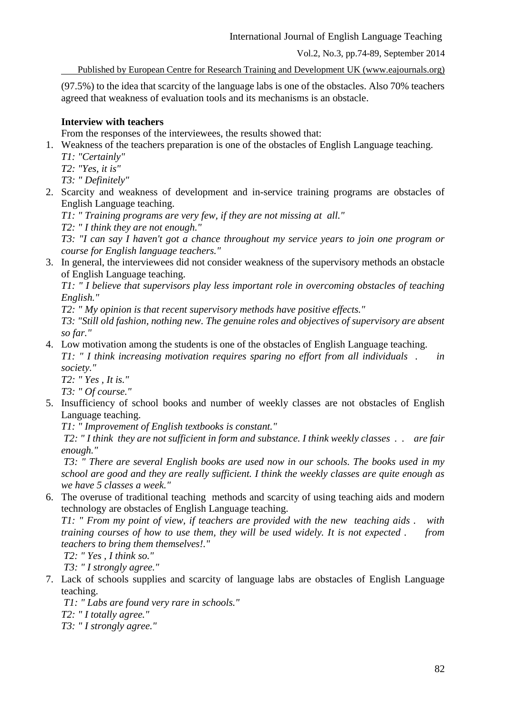Published by European Centre for Research Training and Development UK (www.eajournals.org)

(97.5%) to the idea that scarcity of the language labs is one of the obstacles. Also 70% teachers agreed that weakness of evaluation tools and its mechanisms is an obstacle.

# **Interview with teachers**

From the responses of the interviewees, the results showed that:

1. Weakness of the teachers preparation is one of the obstacles of English Language teaching.

- *T1: "Certainly"*
- *T2: "Yes, it is"*
- *T3: " Definitely"*
- 2. Scarcity and weakness of development and in-service training programs are obstacles of English Language teaching.

*T1: " Training programs are very few, if they are not missing at all."*

*T2: " I think they are not enough."*

*T3: "I can say I haven't got a chance throughout my service years to join one program or course for English language teachers."*

3. In general, the interviewees did not consider weakness of the supervisory methods an obstacle of English Language teaching.

*T1: " I believe that supervisors play less important role in overcoming obstacles of teaching English."*

*T2: " My opinion is that recent supervisory methods have positive effects."*

*T3: "Still old fashion, nothing new. The genuine roles and objectives of supervisory are absent so far."*

4. Low motivation among the students is one of the obstacles of English Language teaching. *T1: " I think increasing motivation requires sparing no effort from all individuals . in* 

*society." T2: " Yes , It is."*

*T3: " Of course."*

5. Insufficiency of school books and number of weekly classes are not obstacles of English Language teaching.

*T1: " Improvement of English textbooks is constant."*

*T2: " I think they are not sufficient in form and substance. I think weekly classes . . are fair enough."*

*T3: " There are several English books are used now in our schools. The books used in my school are good and they are really sufficient. I think the weekly classes are quite enough as we have 5 classes a week."*

6. The overuse of traditional teaching methods and scarcity of using teaching aids and modern technology are obstacles of English Language teaching.

*T1: " From my point of view, if teachers are provided with the new teaching aids . with training courses of how to use them, they will be used widely. It is not expected . from teachers to bring them themselves!."*

*T2: " Yes , I think so."*

*T3: " I strongly agree."*

7. Lack of schools supplies and scarcity of language labs are obstacles of English Language teaching.

*T1: " Labs are found very rare in schools."*

*T2: " I totally agree."*

*T3: " I strongly agree."*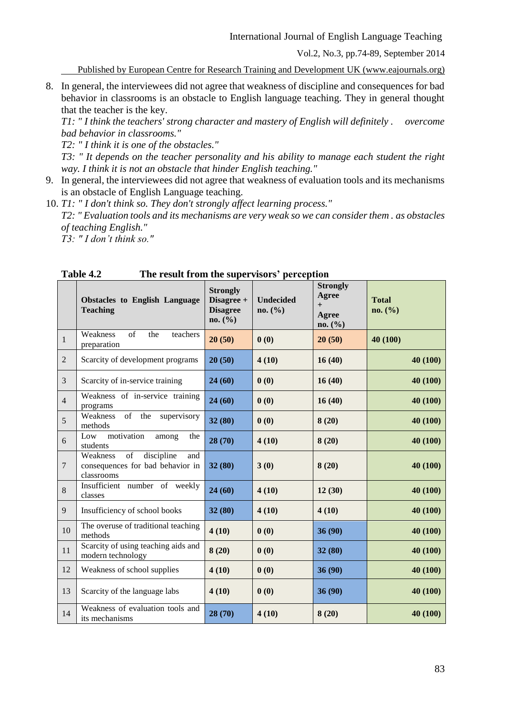Published by European Centre for Research Training and Development UK (www.eajournals.org)

8. In general, the interviewees did not agree that weakness of discipline and consequences for bad behavior in classrooms is an obstacle to English language teaching. They in general thought that the teacher is the key.

*T1: " I think the teachers' strong character and mastery of English will definitely . overcome bad behavior in classrooms."*

*T2: " I think it is one of the obstacles."*

*T3: " It depends on the teacher personality and his ability to manage each student the right way. I think it is not an obstacle that hinder English teaching."*

- 9. In general, the interviewees did not agree that weakness of evaluation tools and its mechanisms is an obstacle of English Language teaching.
- 10. *T1: " I don't think so. They don't strongly affect learning process." T2: " Evaluation tools and its mechanisms are very weak so we can consider them . as obstacles of teaching English." T3: " I don't think so."*

| 1 avic 7.4<br>The result from the supervisors perception |                                                                                       |                                                             |                             |                                                     |                         |  |  |  |
|----------------------------------------------------------|---------------------------------------------------------------------------------------|-------------------------------------------------------------|-----------------------------|-----------------------------------------------------|-------------------------|--|--|--|
|                                                          | <b>Obstacles to English Language</b><br><b>Teaching</b>                               | <b>Strongly</b><br>Disagree +<br><b>Disagree</b><br>no. (%) | <b>Undecided</b><br>no. (%) | <b>Strongly</b><br>Agree<br>$+$<br>Agree<br>no. (%) | <b>Total</b><br>no. (%) |  |  |  |
| $\mathbf{1}$                                             | Weakness<br>$\sigma$ f<br>the<br>teachers<br>preparation                              | 20(50)                                                      | 0(0)                        | 20(50)                                              | 40 (100)                |  |  |  |
| $\overline{2}$                                           | Scarcity of development programs                                                      | 20(50)                                                      | 4(10)                       | 16(40)                                              | 40 (100)                |  |  |  |
| 3                                                        | Scarcity of in-service training                                                       | 24(60)                                                      | 0(0)                        | 16(40)                                              | 40 (100)                |  |  |  |
| $\overline{4}$                                           | Weakness of in-service training<br>programs                                           | 24(60)                                                      | 0(0)                        | 16(40)                                              | 40 (100)                |  |  |  |
| 5                                                        | Weakness<br>of the<br>supervisory<br>methods                                          | 32(80)                                                      | 0(0)                        | 8(20)                                               | 40 (100)                |  |  |  |
| 6                                                        | motivation<br>Low<br>among<br>the<br>students                                         | 28 (70)                                                     | 4(10)                       | 8(20)                                               | 40 (100)                |  |  |  |
| $\overline{7}$                                           | of<br>discipline<br>Weakness<br>and<br>consequences for bad behavior in<br>classrooms | 32(80)                                                      | 3(0)                        | 8(20)                                               | 40 (100)                |  |  |  |
| 8                                                        | Insufficient number of weekly<br>classes                                              | 24(60)                                                      | 4(10)                       | 12(30)                                              | 40 (100)                |  |  |  |
| 9                                                        | Insufficiency of school books                                                         | 32(80)                                                      | 4(10)                       | 4(10)                                               | 40 (100)                |  |  |  |
| 10                                                       | The overuse of traditional teaching<br>methods                                        | 4(10)                                                       | 0(0)                        | 36(90)                                              | 40 (100)                |  |  |  |
| 11                                                       | Scarcity of using teaching aids and<br>modern technology                              | 8(20)                                                       | 0(0)                        | 32(80)                                              | 40 (100)                |  |  |  |
| 12                                                       | Weakness of school supplies                                                           | 4(10)                                                       | 0(0)                        | 36(90)                                              | 40 (100)                |  |  |  |
| 13                                                       | Scarcity of the language labs                                                         | 4(10)                                                       | 0(0)                        | 36(90)                                              | 40 (100)                |  |  |  |
| 14                                                       | Weakness of evaluation tools and<br>its mechanisms                                    | 28 (70)                                                     | 4(10)                       | 8(20)                                               | 40 (100)                |  |  |  |

**Table 4.2 The result from the supervisors' perception**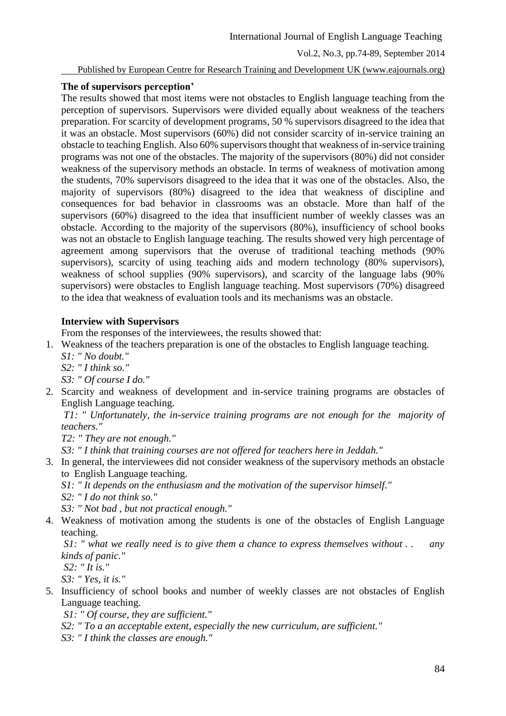Published by European Centre for Research Training and Development UK (www.eajournals.org)

### **The of supervisors perception'**

The results showed that most items were not obstacles to English language teaching from the perception of supervisors. Supervisors were divided equally about weakness of the teachers preparation. For scarcity of development programs, 50 % supervisors disagreed to the idea that it was an obstacle. Most supervisors (60%) did not consider scarcity of in-service training an obstacle to teaching English. Also 60% supervisors thought that weakness of in-service training programs was not one of the obstacles. The majority of the supervisors (80%) did not consider weakness of the supervisory methods an obstacle. In terms of weakness of motivation among the students, 70% supervisors disagreed to the idea that it was one of the obstacles. Also, the majority of supervisors (80%) disagreed to the idea that weakness of discipline and consequences for bad behavior in classrooms was an obstacle. More than half of the supervisors (60%) disagreed to the idea that insufficient number of weekly classes was an obstacle. According to the majority of the supervisors (80%), insufficiency of school books was not an obstacle to English language teaching. The results showed very high percentage of agreement among supervisors that the overuse of traditional teaching methods (90% supervisors), scarcity of using teaching aids and modern technology (80% supervisors), weakness of school supplies (90% supervisors), and scarcity of the language labs (90% supervisors) were obstacles to English language teaching. Most supervisors (70%) disagreed to the idea that weakness of evaluation tools and its mechanisms was an obstacle.

## **Interview with Supervisors**

From the responses of the interviewees, the results showed that:

- 1. Weakness of the teachers preparation is one of the obstacles to English language teaching.
	- *S1: " No doubt." S2: " I think so."*

*S3: " Of course I do."*

2. Scarcity and weakness of development and in-service training programs are obstacles of English Language teaching.

*T1: " Unfortunately, the in-service training programs are not enough for the majority of teachers."*

*T2: " They are not enough."*

*S3: " I think that training courses are not offered for teachers here in Jeddah."*

3. In general, the interviewees did not consider weakness of the supervisory methods an obstacle to English Language teaching.

*S1: " It depends on the enthusiasm and the motivation of the supervisor himself."*

*S2: " I do not think so."*

*S3: " Not bad , but not practical enough."*

4. Weakness of motivation among the students is one of the obstacles of English Language teaching.

*S1: " what we really need is to give them a chance to express themselves without . . any kinds of panic."*

*S2: " It is."*

*S3: " Yes, it is."*

5. Insufficiency of school books and number of weekly classes are not obstacles of English Language teaching.

*S1: " Of course, they are sufficient."*

*S2: " To a an acceptable extent, especially the new curriculum, are sufficient."*

*S3: " I think the classes are enough."*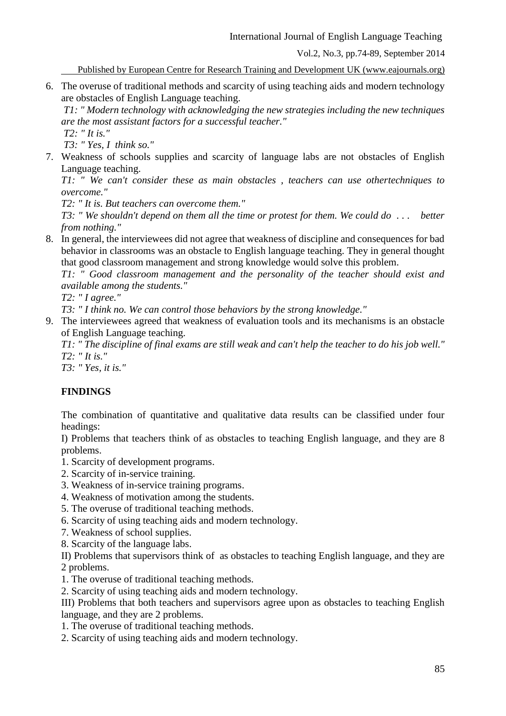International Journal of English Language Teaching

Vol.2, No.3, pp.74-89, September 2014

Published by European Centre for Research Training and Development UK (www.eajournals.org)

6. The overuse of traditional methods and scarcity of using teaching aids and modern technology are obstacles of English Language teaching.

*T1: " Modern technology with acknowledging the new strategies including the new techniques are the most assistant factors for a successful teacher."*

*T2: " It is." T3: " Yes, I think so."*

7. Weakness of schools supplies and scarcity of language labs are not obstacles of English Language teaching.

*T1: " We can't consider these as main obstacles , teachers can use othertechniques to overcome."*

*T2: " It is. But teachers can overcome them."*

*T3: " We shouldn't depend on them all the time or protest for them. We could do . . . better from nothing."*

8. In general, the interviewees did not agree that weakness of discipline and consequences for bad behavior in classrooms was an obstacle to English language teaching. They in general thought that good classroom management and strong knowledge would solve this problem.

*T1: " Good classroom management and the personality of the teacher should exist and available among the students."*

*T2: " I agree."*

*T3: " I think no. We can control those behaviors by the strong knowledge."*

9. The interviewees agreed that weakness of evaluation tools and its mechanisms is an obstacle of English Language teaching.

*T1: " The discipline of final exams are still weak and can't help the teacher to do his job well." T2: " It is."*

*T3: " Yes, it is."*

# **FINDINGS**

The combination of quantitative and qualitative data results can be classified under four headings:

I) Problems that teachers think of as obstacles to teaching English language, and they are 8 problems.

- 1. Scarcity of development programs.
- 2. Scarcity of in-service training.
- 3. Weakness of in-service training programs.
- 4. Weakness of motivation among the students.
- 5. The overuse of traditional teaching methods.
- 6. Scarcity of using teaching aids and modern technology.
- 7. Weakness of school supplies.
- 8. Scarcity of the language labs.

II) Problems that supervisors think of as obstacles to teaching English language, and they are 2 problems.

- 1. The overuse of traditional teaching methods.
- 2. Scarcity of using teaching aids and modern technology.

III) Problems that both teachers and supervisors agree upon as obstacles to teaching English language, and they are 2 problems.

- 1. The overuse of traditional teaching methods.
- 2. Scarcity of using teaching aids and modern technology.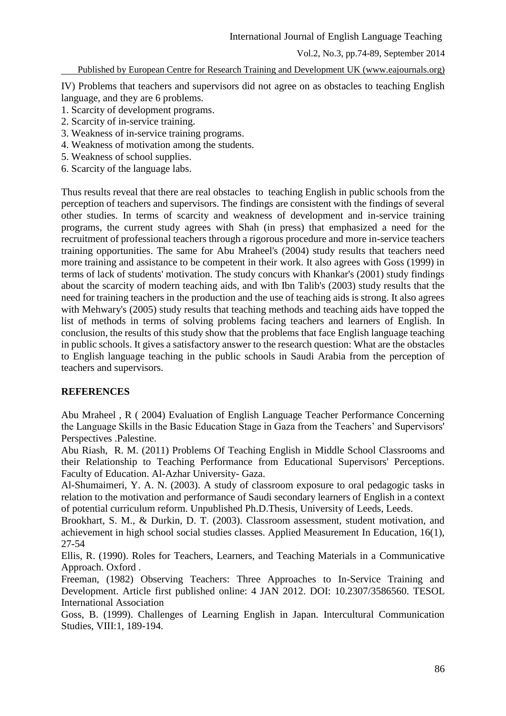Published by European Centre for Research Training and Development UK (www.eajournals.org)

IV) Problems that teachers and supervisors did not agree on as obstacles to teaching English language, and they are 6 problems.

- 1. Scarcity of development programs.
- 2. Scarcity of in-service training.
- 3. Weakness of in-service training programs.
- 4. Weakness of motivation among the students.
- 5. Weakness of school supplies.
- 6. Scarcity of the language labs.

Thus results reveal that there are real obstacles to teaching English in public schools from the perception of teachers and supervisors. The findings are consistent with the findings of several other studies. In terms of scarcity and weakness of development and in-service training programs, the current study agrees with Shah (in press) that emphasized a need for the recruitment of professional teachers through a rigorous procedure and more in-service teachers training opportunities. The same for Abu Mraheel's (2004) study results that teachers need more training and assistance to be competent in their work. It also agrees with Goss (1999) in terms of lack of students' motivation. The study concurs with Khankar's (2001) study findings about the scarcity of modern teaching aids, and with Ibn Talib's (2003) study results that the need for training teachers in the production and the use of teaching aids is strong. It also agrees with Mehwary's (2005) study results that teaching methods and teaching aids have topped the list of methods in terms of solving problems facing teachers and learners of English. In conclusion, the results of this study show that the problems that face English language teaching in public schools. It gives a satisfactory answer to the research question: What are the obstacles to English language teaching in the public schools in Saudi Arabia from the perception of teachers and supervisors.

#### **REFERENCES**

Abu Mraheel , R ( 2004) Evaluation of English Language Teacher Performance Concerning the Language Skills in the Basic Education Stage in Gaza from the Teachers' and Supervisors' Perspectives .Palestine.

Abu Riash, R. M. (2011) Problems Of Teaching English in Middle School Classrooms and their Relationship to Teaching Performance from Educational Supervisors' Perceptions. Faculty of Education. Al-Azhar University- Gaza.

Al-Shumaimeri, Y. A. N. (2003). A study of classroom exposure to oral pedagogic tasks in relation to the motivation and performance of Saudi secondary learners of English in a context of potential curriculum reform. Unpublished Ph.D.Thesis, University of Leeds, Leeds.

Brookhart, S. M., & Durkin, D. T. (2003). Classroom assessment, student motivation, and achievement in high school social studies classes. Applied Measurement In Education, 16(1), 27-54

Ellis, R. (1990). Roles for Teachers, Learners, and Teaching Materials in a Communicative Approach. Oxford .

Freeman, (1982) Observing Teachers: Three Approaches to In-Service Training and Development. Article first published online: 4 JAN 2012. DOI: 10.2307/3586560. TESOL International Association

Goss, B. (1999). Challenges of Learning English in Japan. Intercultural Communication Studies, VIII:1, 189-194.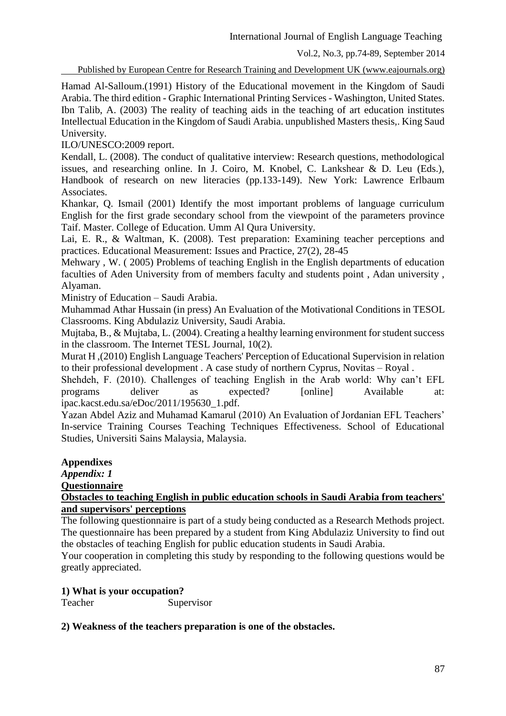Published by European Centre for Research Training and Development UK (www.eajournals.org)

Hamad Al-Salloum.(1991) History of the Educational movement in the Kingdom of Saudi Arabia. The third edition - Graphic International Printing Services - Washington, United States. Ibn Talib, A. (2003) The reality of teaching aids in the teaching of art education institutes Intellectual Education in the Kingdom of Saudi Arabia. unpublished Masters thesis,. King Saud University.

ILO/UNESCO:2009 report.

Kendall, L. (2008). The conduct of qualitative interview: Research questions, methodological issues, and researching online. In J. Coiro, M. Knobel, C. Lankshear & D. Leu (Eds.), Handbook of research on new literacies (pp.133-149). New York: Lawrence Erlbaum Associates.

Khankar, Q. Ismail (2001) Identify the most important problems of language curriculum English for the first grade secondary school from the viewpoint of the parameters province Taif. Master. College of Education. Umm Al Qura University.

Lai, E. R., & Waltman, K. (2008). Test preparation: Examining teacher perceptions and practices. Educational Measurement: Issues and Practice, 27(2), 28-45

Mehwary , W. ( 2005) Problems of teaching English in the English departments of education faculties of Aden University from of members faculty and students point , Adan university , Alyaman.

Ministry of Education – Saudi Arabia.

Muhammad Athar Hussain (in press) An Evaluation of the Motivational Conditions in TESOL Classrooms. King Abdulaziz University, Saudi Arabia.

Mujtaba, B., & Mujtaba, L. (2004). Creating a healthy learning environment for student success in the classroom. The Internet TESL Journal, 10(2).

Murat H ,(2010) English Language Teachers' Perception of Educational Supervision in relation to their professional development . A case study of northern Cyprus, Novitas – Royal .

Shehdeh, F. (2010). Challenges of teaching English in the Arab world: Why can't EFL programs deliver as expected? [online] Available at: ipac.kacst.edu.sa/eDoc/2011/195630\_1.pdf.

Yazan Abdel Aziz and Muhamad Kamarul (2010) An Evaluation of Jordanian EFL Teachers' In-service Training Courses Teaching Techniques Effectiveness. School of Educational Studies, Universiti Sains Malaysia, Malaysia.

## **Appendixes**

*Appendix: 1*

**Questionnaire**

#### **Obstacles to teaching English in public education schools in Saudi Arabia from teachers' and supervisors' perceptions**

The following questionnaire is part of a study being conducted as a Research Methods project. The questionnaire has been prepared by a student from King Abdulaziz University to find out the obstacles of teaching English for public education students in Saudi Arabia.

Your cooperation in completing this study by responding to the following questions would be greatly appreciated.

## **1) What is your occupation?**

Teacher Supervisor

## **2) Weakness of the teachers preparation is one of the obstacles.**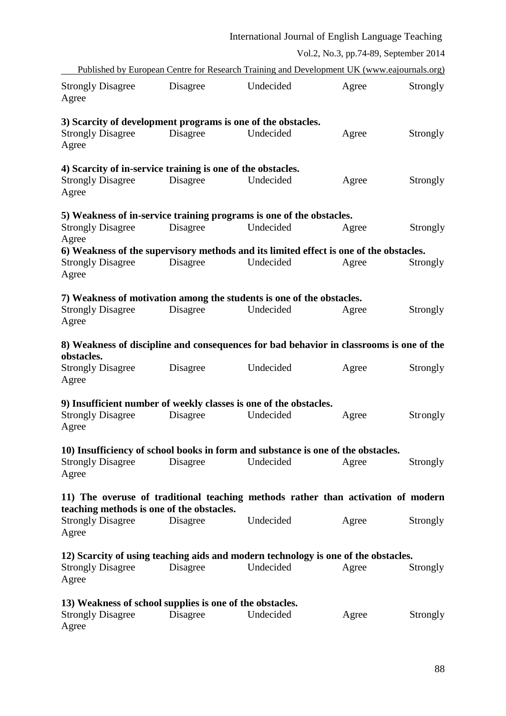|                                                             | International Journal of English Language Teaching |                                                                                            |                                       |          |  |
|-------------------------------------------------------------|----------------------------------------------------|--------------------------------------------------------------------------------------------|---------------------------------------|----------|--|
|                                                             |                                                    |                                                                                            | Vol.2, No.3, pp.74-89, September 2014 |          |  |
|                                                             |                                                    | Published by European Centre for Research Training and Development UK (www.eajournals.org) |                                       |          |  |
| <b>Strongly Disagree</b><br>Agree                           | Disagree                                           | Undecided                                                                                  | Agree                                 | Strongly |  |
|                                                             |                                                    | 3) Scarcity of development programs is one of the obstacles.                               |                                       |          |  |
| <b>Strongly Disagree</b><br>Agree                           | Disagree                                           | Undecided                                                                                  | Agree                                 | Strongly |  |
| 4) Scarcity of in-service training is one of the obstacles. |                                                    |                                                                                            |                                       |          |  |
| <b>Strongly Disagree</b><br>Agree                           | Disagree                                           | Undecided                                                                                  | Agree                                 | Strongly |  |
|                                                             |                                                    | 5) Weakness of in-service training programs is one of the obstacles.                       |                                       |          |  |
| <b>Strongly Disagree</b>                                    | Disagree                                           | Undecided                                                                                  | Agree                                 | Strongly |  |
| Agree                                                       |                                                    | 6) Weakness of the supervisory methods and its limited effect is one of the obstacles.     |                                       |          |  |
| <b>Strongly Disagree</b><br>Agree                           | Disagree                                           | Undecided                                                                                  | Agree                                 | Strongly |  |
|                                                             |                                                    | 7) Weakness of motivation among the students is one of the obstacles.                      |                                       |          |  |
| <b>Strongly Disagree</b><br>Agree                           | Disagree                                           | Undecided                                                                                  | Agree                                 | Strongly |  |
|                                                             |                                                    | 8) Weakness of discipline and consequences for bad behavior in classrooms is one of the    |                                       |          |  |
| obstacles.<br><b>Strongly Disagree</b><br>Agree             | Disagree                                           | Undecided                                                                                  | Agree                                 | Strongly |  |
|                                                             |                                                    | 9) Insufficient number of weekly classes is one of the obstacles.                          |                                       |          |  |
| Strongly Disagree Disagree Undecided<br>Agree               |                                                    |                                                                                            | Agree                                 | Strongly |  |
|                                                             |                                                    | 10) Insufficiency of school books in form and substance is one of the obstacles.           |                                       |          |  |
| <b>Strongly Disagree</b><br>Agree                           | Disagree                                           | Undecided                                                                                  | Agree                                 | Strongly |  |
|                                                             |                                                    | 11) The overuse of traditional teaching methods rather than activation of modern           |                                       |          |  |
| teaching methods is one of the obstacles.                   |                                                    |                                                                                            |                                       |          |  |
| <b>Strongly Disagree</b><br>Agree                           | Disagree                                           | Undecided                                                                                  | Agree                                 | Strongly |  |
|                                                             |                                                    | 12) Scarcity of using teaching aids and modern technology is one of the obstacles.         |                                       |          |  |
| <b>Strongly Disagree</b><br>Agree                           | Disagree                                           | Undecided                                                                                  | Agree                                 | Strongly |  |
| 13) Weakness of school supplies is one of the obstacles.    |                                                    |                                                                                            |                                       |          |  |
| <b>Strongly Disagree</b><br>Agree                           | Disagree                                           | Undecided                                                                                  | Agree                                 | Strongly |  |